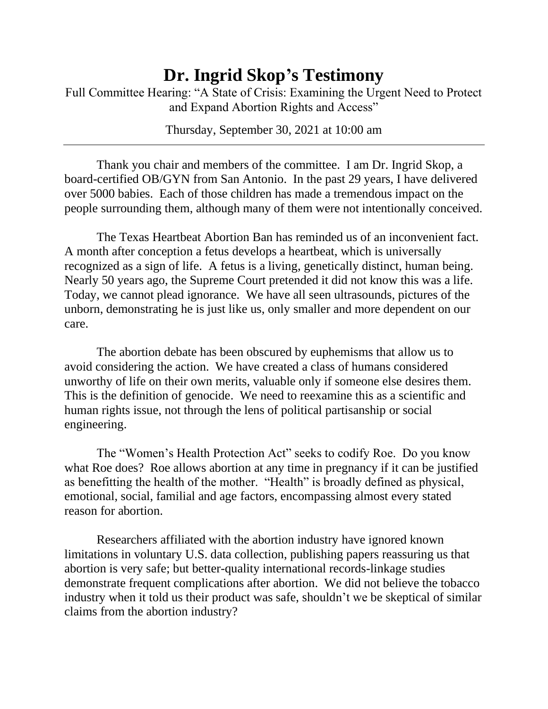## **Dr. Ingrid Skop's Testimony**

Full Committee Hearing: "A State of Crisis: Examining the Urgent Need to Protect and Expand Abortion Rights and Access"

Thursday, September 30, 2021 at 10:00 am

Thank you chair and members of the committee. I am Dr. Ingrid Skop, a board-certified OB/GYN from San Antonio. In the past 29 years, I have delivered over 5000 babies. Each of those children has made a tremendous impact on the people surrounding them, although many of them were not intentionally conceived.

The Texas Heartbeat Abortion Ban has reminded us of an inconvenient fact. A month after conception a fetus develops a heartbeat, which is universally recognized as a sign of life. A fetus is a living, genetically distinct, human being. Nearly 50 years ago, the Supreme Court pretended it did not know this was a life. Today, we cannot plead ignorance. We have all seen ultrasounds, pictures of the unborn, demonstrating he is just like us, only smaller and more dependent on our care.

The abortion debate has been obscured by euphemisms that allow us to avoid considering the action. We have created a class of humans considered unworthy of life on their own merits, valuable only if someone else desires them. This is the definition of genocide. We need to reexamine this as a scientific and human rights issue, not through the lens of political partisanship or social engineering.

The "Women's Health Protection Act" seeks to codify Roe. Do you know what Roe does? Roe allows abortion at any time in pregnancy if it can be justified as benefitting the health of the mother. "Health" is broadly defined as physical, emotional, social, familial and age factors, encompassing almost every stated reason for abortion.

Researchers affiliated with the abortion industry have ignored known limitations in voluntary U.S. data collection, publishing papers reassuring us that abortion is very safe; but better-quality international records-linkage studies demonstrate frequent complications after abortion. We did not believe the tobacco industry when it told us their product was safe, shouldn't we be skeptical of similar claims from the abortion industry?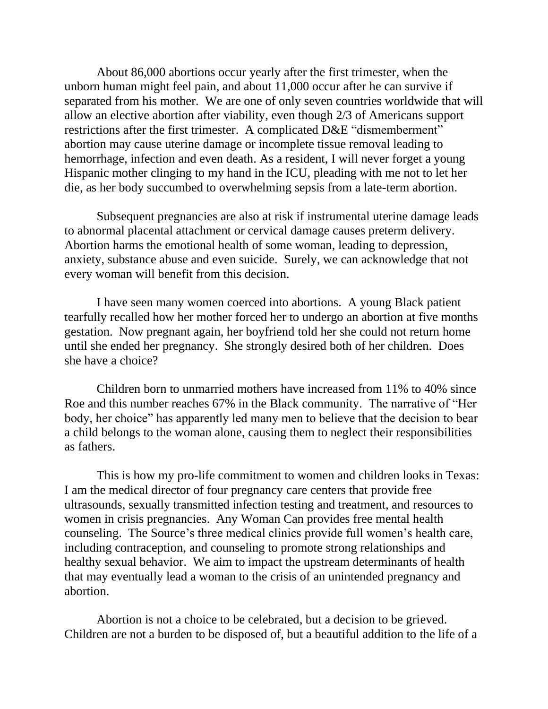About 86,000 abortions occur yearly after the first trimester, when the unborn human might feel pain, and about 11,000 occur after he can survive if separated from his mother. We are one of only seven countries worldwide that will allow an elective abortion after viability, even though 2/3 of Americans support restrictions after the first trimester. A complicated D&E "dismemberment" abortion may cause uterine damage or incomplete tissue removal leading to hemorrhage, infection and even death. As a resident, I will never forget a young Hispanic mother clinging to my hand in the ICU, pleading with me not to let her die, as her body succumbed to overwhelming sepsis from a late-term abortion.

Subsequent pregnancies are also at risk if instrumental uterine damage leads to abnormal placental attachment or cervical damage causes preterm delivery. Abortion harms the emotional health of some woman, leading to depression, anxiety, substance abuse and even suicide. Surely, we can acknowledge that not every woman will benefit from this decision.

I have seen many women coerced into abortions. A young Black patient tearfully recalled how her mother forced her to undergo an abortion at five months gestation. Now pregnant again, her boyfriend told her she could not return home until she ended her pregnancy. She strongly desired both of her children. Does she have a choice?

Children born to unmarried mothers have increased from 11% to 40% since Roe and this number reaches 67% in the Black community. The narrative of "Her body, her choice" has apparently led many men to believe that the decision to bear a child belongs to the woman alone, causing them to neglect their responsibilities as fathers.

This is how my pro-life commitment to women and children looks in Texas: I am the medical director of four pregnancy care centers that provide free ultrasounds, sexually transmitted infection testing and treatment, and resources to women in crisis pregnancies. Any Woman Can provides free mental health counseling. The Source's three medical clinics provide full women's health care, including contraception, and counseling to promote strong relationships and healthy sexual behavior. We aim to impact the upstream determinants of health that may eventually lead a woman to the crisis of an unintended pregnancy and abortion.

Abortion is not a choice to be celebrated, but a decision to be grieved. Children are not a burden to be disposed of, but a beautiful addition to the life of a